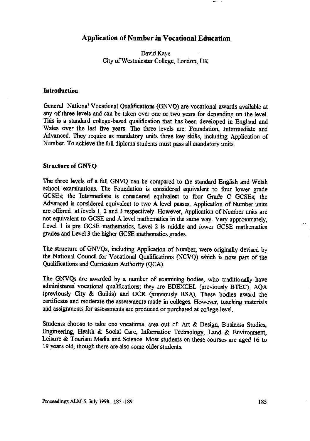**David Kaye City of Westminster College, London, UK**

### **Introduction**

**General National Vocational Qualifications (GNVQ) are vocational awards available at any of three levels and can be taken over one or two years for depending on the level. This is a standard college-based qualification that has been developed in England and Wales over the last five years. The three levels are: Foundation, Intermediate and Advanced. They** *require* **as mandatory units three key skills, including Application of Number. To achieve the full diploma students must pass all mandatory units.**

### **Structure of GNVQ**

**The three levels of a full GNVQ can be compared to the standard English and Welsh school examinations. The Foundation is considered equivalent to four lower grade GCSEs; the Intermediate is considered equivalent to four Grade C GCSEs; the Advanced is considered equivalent to two A level passes. Application of Number units are offered at levels 1, 2 and 3 respectively. However, Application of Number units are not equivalent to GCSE and A level mathematics in the same way. Very approximately, Level 1 is pre GCSE mathematics, Level 2 is middle and lower GCSE mathematics grades and Level 3 the higher GCSE mathematics grades.**

**The structure of GNVQs, including Application of Number, were originally devised by the National Council for Vocational Qualifications (NCVQ) which is now part of the Qualifications and Curriculum Authority (QCA).**

**The GNVQs are awarded by a number of examining bodies, who traditionally have administered vocational qualifications; they are EDEXCEL (previously BTEC), AQA (previously City & Guilds) and OCR (previously RSA). These bodies award the certificate and moderate the assessments made in colleges. However, teaching materials and assignments for assessments are produced or purchased at college level.**

Students choose to take one vocational area out of Art & Design, Business Studies, **Engineering, Health & Social Care, Information Technology, Land & Environment, Leisure & Tourism Media and Science. Most students on these courses are aged 16 to 19 years old, though there are also some older students.**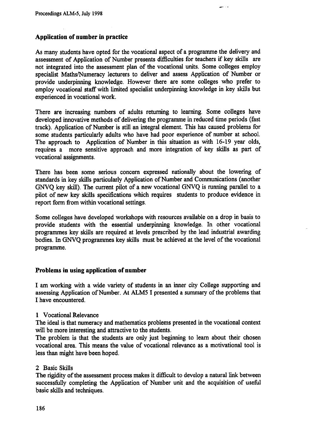### **Application of number in practice**

As many students have opted for the vocational aspect of a programme the delivery and assessment of Application of Number presents difficulties for teachers if key skills are not integrated into the assessment plan of the vocational units. Some colleges employ specialist Maths/Numeracy lecturers to deliver and assess Application of Number or provide underpinning knowledge. However there are some colleges who prefer to employ vocational staff with limited specialist underpinning knowledge in key skills but experienced in vocational work.

د د س

There are increasing numbers of adults returning to learning. Some colleges have developed innovative methods of delivering the programme in reduced time periods (fast track). Application of Number is still an integral element. This has caused problems for some students particularly adults who have had poor experience of number at school. The approach to Application of Number in this situation as with 16-19 year olds, requires a more sensitive approach and more integration of key skills as part of vocational assignments.

There has been some serious concern expressed nationally about the lowering of standards in key skills particularly Application of Number and Communications (another GNVQ key skill). The current pilot of a new vocational GNVQ is running parallel to a pilot of new key skills specifications which requires students to produce evidence in report form from within vocational settings.

Some colleges have developed workshops with resources available on a drop in basis to provide students with the essential underpinning knowledge. In other vocational programmes key skills are required at levels prescribed by the lead industrial awarding bodies. In GNVQ programmes key skills must be achieved at the level of the vocational programme.

#### **Problems in using application of number**

**I** am working with a wide variety of students in an inner city College supporting and assessing Application of Number. At ALMS I presented a summary of the problems that **I** have encountered.

#### 1 Vocational Relevance

The ideal is that numeracy and mathematics problems presented in the vocational context will be more interesting and attractive to the students.

The problem is that the students are only just beginning to learn about their chosen vocational area. This means the value of vocational relevance as a motivational tool is less than might have been hoped.

#### 2 Basic Skills

The rigidity of the assessment process makes it difficult to develop a natural link between successfully completing the Application of Number unit and the acquisition of useful basic skills and techniques.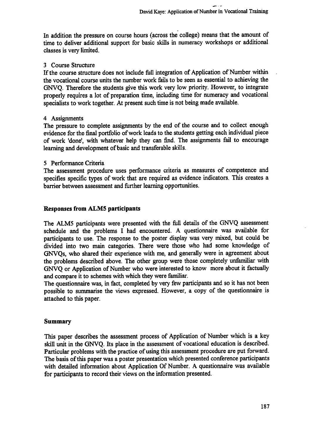**In addition the pressure on course hours (across the college) means that the amount of time to deliver additional support for basic skills in numeracy workshops or additional classes is very limited.**

# **3 Course Structure**

**If the course structure does not include full integration of Application of Number within the vocational course units the number work fails to be seen as essential to achieving the GNVQ. Therefore the students** *give* **this work very low priority. However, to integrate properly requires a lot of preparation time, including time for numeracy and vocational specialists to work together. At present such time is not being made available.**

### **4 Assignments**

**The pressure to complete assignments by the end of the course and to collect enough evidence for the final portfolio of work leads to the students getting each individual piece of work 'done', with whatever help they can find. The assignments fail to encourage learning and development of basic and transferable skills.**

### **5 Performance Criteria**

**The assessment procedure uses performance criteria as measures of competence and specifies specific types of work that are required as evidence indicators. This creates a barrier between assessment and further learning opportunities.**

# **Responses from ALMS participants**

**The ALMS participants were presented with the full details of the GNVQ assessment schedule and the problems I had encountered. A questionnaire was available for participants to use. The response to the poster display was very mixed, but could be divided into two main categories. There were those who had some knowledge of GNVQs, who shared their experience with me, and generally were in agreement about the problems described above. The other group were those completely unfamiliar with GNVQ or Application of Number who were interested to know more about it factually and compare it to schemes with which they were familiar.**

**The questionnaire was, in fact, completed by very few participants and so it has not been possible to summarise the views expressed. However, a copy of the questionnaire is attached to this paper.**

### **Summary**

**This paper describes the assessment process of Application of Number which is a key skill unit in the GNVQ. Its place in the assessment of vocational education is described. Particular problems with the practice of using this assessment procedure are put forward. The basis of this paper was a poster presentation which presented conference participants with detailed information about Application Of Number. A questionnaire was available for participants to record their views on the information presented.**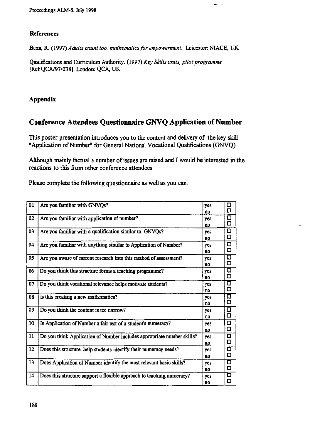# **References**

**Benn, R. (1997)** *Adults count too, mathematics for empowerment.* **Leicester: NIACE, UK**

**Qualifications and Curriculum Authority. (1997)** *Key Skills units, pilot programme* **[Ref QCA/97/038]. London: QCA, UK**

# **Appendix**

# **Conference Attendees Questionnaire GNVQ Application of Number**

**This poster presentation introduces you to the content and delivery of the key skill "Application of Number" for General National Vocational Qualifications (GNVQ)**

**Although mainly factual a number of issues are raised and I would be interested in the reactions to this from other conference attendees.**

**Please complete the following questionnaire as well as you can.**

| 01 | Are you familiar with GNVQs?                                           | yes<br>no | о<br>О           |
|----|------------------------------------------------------------------------|-----------|------------------|
| 02 | Are you familiar with application of number?                           | yes<br>no | □<br>Ο           |
| 03 | Are you familiar with a qualification similar to GNVQs?                | yes<br>no | Ο<br>Ο           |
| 04 | Are you familiar with anything similar to Application of Number?       | yes<br>no | $\Box$<br>$\Box$ |
| 05 | Are you aware of current research into this method of assessment?      | yes<br>no | о<br>O           |
| 06 | Do you think this structure forms a teaching programme?                | yes<br>no | О<br>O           |
| 07 | Do you think vocational relevance helps motivate students?             | yes<br>no | Q<br>O           |
| 08 | Is this creating a new mathematics?                                    | yes<br>no | ۵<br>۵           |
| 09 | Do you think the content is too narrow?                                | yes<br>no | О<br>О           |
| 10 | Is Application of Number a fair test of a student's numeracy?          | yes<br>no | α<br>□           |
| 11 | Do you think Application of Number includes appropriate number skills? | yes<br>no | □<br>◻           |
| 12 | Does this structure help students identify their numeracy needs?       | yes<br>no | 口<br>Ο           |
| 13 | Does Application of Number identify the most relevant basic skills?    | yes<br>no | О<br>O           |
| 14 | Does this structure support a flexible approach to teaching numeracy?  | yes<br>no | о<br>ο           |